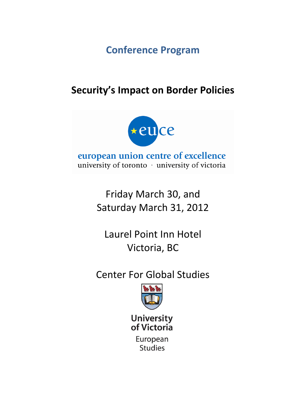**Conference Program**

# **Security's Impact on Border Policies**



european union centre of excellence university of toronto · university of victoria

> Friday March 30, and Saturday March 31, 2012

Laurel Point Inn Hotel Victoria, BC

Center For Global Studies



**University** of Victoria

> European **Studies**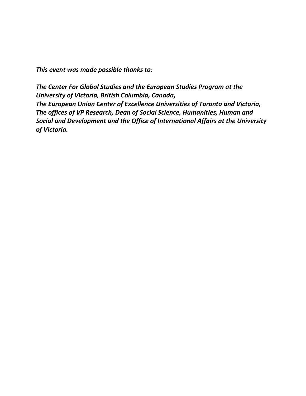*This event was made possible thanks to:*

*The Center For Global Studies and the European Studies Program at the University of Victoria, British Columbia, Canada, The European Union Center of Excellence Universities of Toronto and Victoria, The offices of VP Research, Dean of Social Science, Humanities, Human and Social and Development and the Office of International Affairs at the University of Victoria.*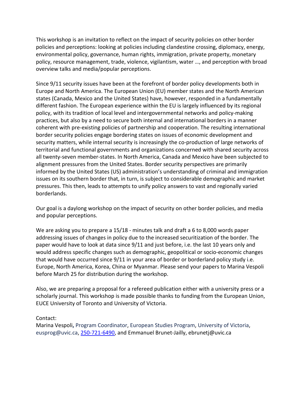This workshop is an invitation to reflect on the impact of security policies on other border policies and perceptions: looking at policies including clandestine crossing, diplomacy, energy, environmental policy, governance, human rights, immigration, private property, monetary policy, resource management, trade, violence, vigilantism, water …, and perception with broad overview talks and media/popular perceptions.

Since 9/11 security issues have been at the forefront of border policy developments both in Europe and North America. The European Union (EU) member states and the North American states (Canada, Mexico and the United States) have, however, responded in a fundamentally different fashion. The European experience within the EU is largely influenced by its regional policy, with its tradition of local level and intergovernmental networks and policy-making practices, but also by a need to secure both internal and international borders in a manner coherent with pre-existing policies of partnership and cooperation. The resulting international border security policies engage bordering states on issues of economic development and security matters, while internal security is increasingly the co-production of large networks of territorial and functional governments and organizations concerned with shared security across all twenty-seven member-states. In North America, Canada and Mexico have been subjected to alignment pressures from the United States. Border security perspectives are primarily informed by the United States (US) administration's understanding of criminal and immigration issues on its southern border that, in turn, is subject to considerable demographic and market pressures. This then, leads to attempts to unify policy answers to vast and regionally varied borderlands.

Our goal is a daylong workshop on the impact of security on other border policies, and media and popular perceptions.

We are asking you to prepare a 15/18 - minutes talk and draft a 6 to 8,000 words paper addressing issues of changes in policy due to the increased securitization of the border. The paper would have to look at data since 9/11 and just before, i.e. the last 10 years only and would address specific changes such as demographic, geopolitical or socio-economic changes that would have occurred since 9/11 in your area of border or borderland policy study i.e. Europe, North America, Korea, China or Myanmar. Please send your papers to Marina Vespoli before March 25 for distribution during the workshop.

Also, we are preparing a proposal for a refereed publication either with a university press or a scholarly journal. This workshop is made possible thanks to funding from the European Union, EUCE University of Toronto and University of Victoria.

## Contact:

Marina Vespoli**,** Program Coordinator, European Studies Program, University of Victoria, [eusprog@uvic.ca,](mailto:eusprog@uvic.ca) [250-721-6490,](tel:\250-721-6490) and Emmanuel Brunet-Jailly, ebrunetj@uvic.ca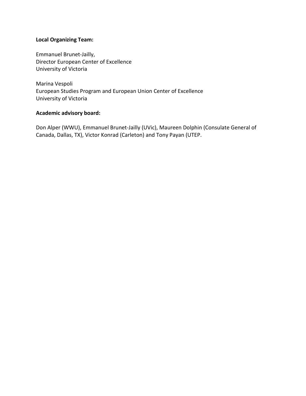## **Local Organizing Team:**

Emmanuel Brunet-Jailly, Director European Center of Excellence University of Victoria

Marina Vespoli European Studies Program and European Union Center of Excellence University of Victoria

## **Academic advisory board:**

Don Alper (WWU), Emmanuel Brunet-Jailly (UVic), Maureen Dolphin (Consulate General of Canada, Dallas, TX), Victor Konrad (Carleton) and Tony Payan (UTEP.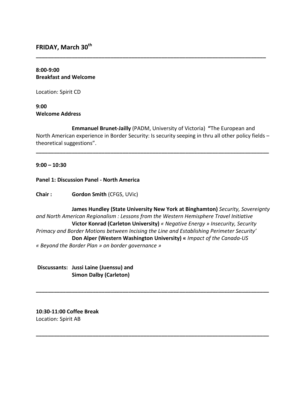**FRIDAY, March 30th**

## **8:00-9:00 Breakfast and Welcome**

Location: Spirit CD

## **9:00 Welcome Address**

**Emmanuel Brunet-Jailly** (PADM, University of Victoria) **"**The European and North American experience in Border Security: Is security seeping in thru all other policy fields – theoretical suggestions".

**\_\_\_\_\_\_\_\_\_\_\_\_\_\_\_\_\_\_\_\_\_\_\_\_\_\_\_\_\_\_\_\_\_\_\_\_\_\_\_\_\_\_\_\_\_\_\_\_\_\_\_\_\_\_\_\_\_\_\_\_\_\_\_\_\_\_\_\_\_\_\_\_\_\_\_\_\_\_**

**\_\_\_\_\_\_\_\_\_\_\_\_\_\_\_\_\_\_\_\_\_\_\_\_\_\_\_\_\_\_\_\_\_\_\_\_\_\_\_\_\_\_\_\_\_\_\_\_\_\_\_\_\_\_\_\_\_\_\_\_\_\_\_\_\_\_\_\_\_\_\_\_\_\_\_\_\_**

## **9:00 – 10:30**

## **Panel 1: Discussion Panel - North America**

**Chair : Gordon Smith** (CFGS, UVic)

**James Hundley (State University New York at Binghamton)** *Security, Sovereignty and North American Regionalism : Lessons from the Western Hemisphere Travel Initiative* **Victor Konrad (Carleton University)** *« Negative Energy » Insecurity, Security Primacy and Border Motions between Incising the Line and Establishing Perimeter Security'* **Don Alper (Western Washington University) «** *Impact of the Canada-US « Beyond the Border Plan » on border governance »*

**\_\_\_\_\_\_\_\_\_\_\_\_\_\_\_\_\_\_\_\_\_\_\_\_\_\_\_\_\_\_\_\_\_\_\_\_\_\_\_\_\_\_\_\_\_\_\_\_\_\_\_\_\_\_\_\_\_\_\_\_\_\_\_\_\_\_\_\_\_\_\_\_\_\_\_\_\_\_**

**\_\_\_\_\_\_\_\_\_\_\_\_\_\_\_\_\_\_\_\_\_\_\_\_\_\_\_\_\_\_\_\_\_\_\_\_\_\_\_\_\_\_\_\_\_\_\_\_\_\_\_\_\_\_\_\_\_\_\_\_\_\_\_\_\_\_\_\_\_\_\_\_\_\_\_\_\_\_**

**Discussants: Jussi Laine (Juenssu) and Simon Dalby (Carleton)**

## **10:30-11:00 Coffee Break** Location: Spirit AB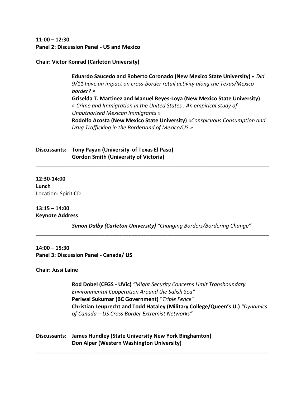**11:00 – 12:30 Panel 2: Discussion Panel - US and Mexico** 

#### **Chair: Victor Konrad (Carleton University)**

**Eduardo Saucedo and Roberto Coronado (New Mexico State University)** « *Did 9/11 have an impact on cross-border retail activity along the Texas/Mexico border? »* **Griselda T. Martinez and Manuel Reyes-Loya (New Mexico State University)** *« Crime and Immigration in the United States : An empirical study of Unauthorized Mexican Immigrants »* **Rodolfo Acosta (New Mexico State University)** *«Conspicuous Consumption and Drug Trafficking in the Borderland of Mexico/US »*

**Discussants: Tony Payan (University of Texas El Paso) Gordon Smith (University of Victoria)**

**12:30-14:00 Lunch** Location: Spirit CD

**13:15 – 14:00 Keynote Address** 

*Simon Dalby (Carleton University) "Changing Borders/Bordering Change"*

**\_\_\_\_\_\_\_\_\_\_\_\_\_\_\_\_\_\_\_\_\_\_\_\_\_\_\_\_\_\_\_\_\_\_\_\_\_\_\_\_\_\_\_\_\_\_\_\_\_\_\_\_\_\_\_\_\_\_\_\_\_\_\_\_\_\_\_\_\_\_\_\_\_\_\_\_\_\_**

**\_\_\_\_\_\_\_\_\_\_\_\_\_\_\_\_\_\_\_\_\_\_\_\_\_\_\_\_\_\_\_\_\_\_\_\_\_\_\_\_\_\_\_\_\_\_\_\_\_\_\_\_\_\_\_\_\_\_\_\_\_\_\_\_\_\_\_\_\_\_\_\_\_\_\_\_\_\_**

**\_\_\_\_\_\_\_\_\_\_\_\_\_\_\_\_\_\_\_\_\_\_\_\_\_\_\_\_\_\_\_\_\_\_\_\_\_\_\_\_\_\_\_\_\_\_\_\_\_\_\_\_\_\_\_\_\_\_\_\_\_\_\_\_\_\_\_\_\_\_\_\_\_\_\_\_\_\_**

**14:00 – 15:30 Panel 3: Discussion Panel - Canada/ US** 

**Chair: Jussi Laine**

**Rod Dobel (CFGS - UVic)** *"Might Security Concerns Limit Transboundary Environmental Cooperation Around the Salish Sea"* **Periwal Sukumar (BC Government)** "*Triple Fence*" **Christian Leuprecht and Todd Hataley (Military College/Queen's U.)** *"Dynamics of Canada – US Cross Border Extremist Networks"*

**Discussants: James Hundley (State University New York Binghamton) Don Alper (Western Washington University)**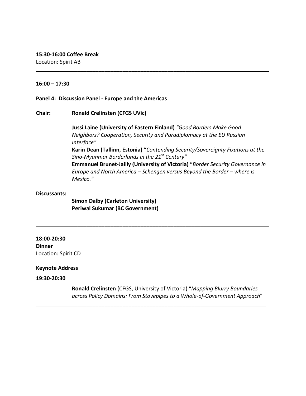Location: Spirit AB

## **16:00 – 17:30**

#### **Panel 4: Discussion Panel - Europe and the Americas**

**Chair: Ronald Crelinsten (CFGS UVic)**

**Jussi Laine (University of Eastern Finland)** *"Good Borders Make Good Neighbors? Cooperation, Security and Paradiplomacy at the EU Russian Interface"* **Karin Dean (Tallinn, Estonia) "***Contending Security/Sovereignty Fixations at the Sino-Myanmar Borderlands in the 21st Century"* **Emmanuel Brunet-Jailly (University of Victoria) "***Border Security Governance in Europe and North America – Schengen versus Beyond the Border – where is Mexico."*

**\_\_\_\_\_\_\_\_\_\_\_\_\_\_\_\_\_\_\_\_\_\_\_\_\_\_\_\_\_\_\_\_\_\_\_\_\_\_\_\_\_\_\_\_\_\_\_\_\_\_\_\_\_\_\_\_\_\_\_\_\_\_\_\_\_\_\_\_\_\_\_\_\_\_\_\_\_\_**

#### **Discussants:**

**Simon Dalby (Carleton University) Periwal Sukumar (BC Government)**

**18:00-20:30 Dinner**  Location: Spirit CD

#### **Keynote Address**

**19:30-20:30**

**Ronald Crelinsten** (CFGS, University of Victoria) "*Mapping Blurry Boundaries across Policy Domains: From Stovepipes to a Whole-of-Government Approach*"

**\_\_\_\_\_\_\_\_\_\_\_\_\_\_\_\_\_\_\_\_\_\_\_\_\_\_\_\_\_\_\_\_\_\_\_\_\_\_\_\_\_\_\_\_\_\_\_\_\_\_\_\_\_\_\_\_\_\_\_\_\_\_\_\_\_\_\_\_\_\_\_\_\_\_\_\_\_\_**

\_\_\_\_\_\_\_\_\_\_\_\_\_\_\_\_\_\_\_\_\_\_\_\_\_\_\_\_\_\_\_\_\_\_\_\_\_\_\_\_\_\_\_\_\_\_\_\_\_\_\_\_\_\_\_\_\_\_\_\_\_\_\_\_\_\_\_\_\_\_\_\_\_\_\_\_\_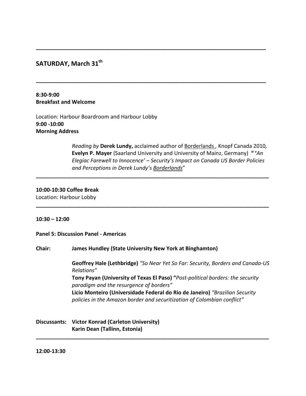# **SATURDAY, March 31th**

## **8:30-9:00 Breakfast and Welcome**

Location: Harbour Boardroom and Harbour Lobby **9:00 -10:00 Morning Address**

> *Reading by* **Derek Lundy,** acclaimed author of Borderlands *,* Knopf Canada 2010*,* **Evelyn P. Mayer** (Saarland University and University of Mainz, Germany) **" '***An Elegiac Farewell to Innocence' – Security's Impact on Canada US Border Policies and Perceptions in Derek Lundy's Borderlands*"

**\_\_\_\_\_\_\_\_\_\_\_\_\_\_\_\_\_\_\_\_\_\_\_\_\_\_\_\_\_\_\_\_\_\_\_\_\_\_\_\_\_\_\_\_\_\_\_\_\_\_\_\_\_\_\_\_\_\_\_\_\_\_\_\_\_\_\_\_\_\_\_\_\_\_\_\_\_**

**\_\_\_\_\_\_\_\_\_\_\_\_\_\_\_\_\_\_\_\_\_\_\_\_\_\_\_\_\_\_\_\_\_\_\_\_\_\_\_\_\_\_\_\_\_\_\_\_\_\_\_\_\_\_\_\_\_\_\_\_\_\_\_\_\_\_\_\_\_\_\_\_\_\_\_\_\_**

**\_\_\_\_\_\_\_\_\_\_\_\_\_\_\_\_\_\_\_\_\_\_\_\_\_\_\_\_\_\_\_\_\_\_\_\_\_\_\_\_\_\_\_\_\_\_\_\_\_\_\_\_\_\_\_\_\_\_\_\_\_\_\_\_\_\_\_\_\_\_\_\_\_\_\_\_\_\_**

**\_\_\_\_\_\_\_\_\_\_\_\_\_\_\_\_\_\_\_\_\_\_\_\_\_\_\_\_\_\_\_\_\_\_\_\_\_\_\_\_\_\_\_\_\_\_\_\_\_\_\_\_\_\_\_\_\_\_\_\_\_\_\_\_\_\_\_\_\_\_\_\_\_\_\_\_\_\_**

## **10:00-10:30 Coffee Break**

Location: Harbour Lobby

#### **10:30 – 12:00**

**Panel 5: Discussion Panel - Americas**

**Chair: James Hundley (State University New York at Binghamton)**

**Geoffrey Hale (Lethbridge)** *"So Near Yet So Far: Security, Borders and Canada-US Relations"* **Tony Payan (University of Texas El Paso) "***Post-political borders: the security paradigm and the resurgence of borders"* **Licio Monteiro (Universidade Federal do Rio de Janeiro)** *"Brazilian Security*

*policies in the Amazon border and securitization of Colombian conflict"*

**\_\_\_\_\_\_\_\_\_\_\_\_\_\_\_\_\_\_\_\_\_\_\_\_\_\_\_\_\_\_\_\_\_\_\_\_\_\_\_\_\_\_\_\_\_\_\_\_\_\_\_\_\_\_\_\_\_\_\_\_\_\_\_\_\_\_\_\_\_\_\_\_\_\_\_\_\_\_**

**Discussants: Victor Konrad (Carleton University) Karin Dean (Tallinn, Estonia)**